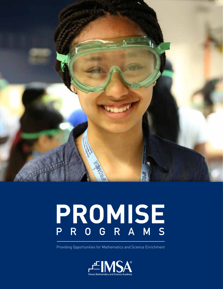

# **PROMISE PROGRAMS**

Providing Opportunities for Mathematics and Science Enrichment

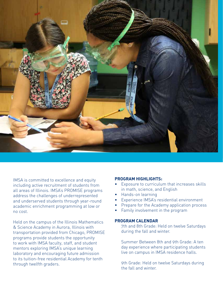

IMSA is committed to excellence and equity including active recruitment of students from all areas of Illinois. IMSA's PROMISE programs address the challenges of underrepresented and underserved students through year-round academic enrichment programming at low or no cost.

Held on the campus of the Illinois Mathematics & Science Academy in Aurora, Illinois with transportation provided from Chicago, PROMISE programs provide students the opportunity to work with IMSA faculty, staff, and student mentors exploring IMSA's unique learning laboratory and encouraging future admission to its tuition-free residential Academy for tenth through twelfth graders.

### **PROGRAM HIGHLIGHTS:**

- Exposure to curriculum that increases skills in math, science, and English
- Hands-on learning
- Experience IMSA's residential environment
- Prepare for the Academy application process
- Family involvement in the program

### **PROGRAM CALENDAR**

7th and 8th Grade: Held on twelve Saturdays during the fall and winter.

Summer Between 8th and 9th Grade: A ten day experience where participating students live on campus in IMSA residence halls.

9th Grade: Held on twelve Saturdays during the fall and winter.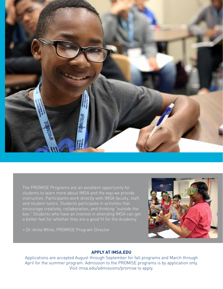

The PROMISE Programs are an excellent opportunity for students to learn more about IMSA and the way we provide instruction. Participants work directly with IMSA faculty, staff, and student tutors. Students participate in activities that encourage creativity, collaboration, and thinking "outside the box." Students who have an interest in attending IMSA can get a better feel for whether they are a good fit for the Academy.

» Dr. Anita White, PROMISE Program Director



## **APPLY AT IMSA.EDU**

Applications are accepted August through September for fall programs and March through April for the summer program. Admission to the PROMISE programs is by application only. Visit imsa.edu/admissions/promise to apply.